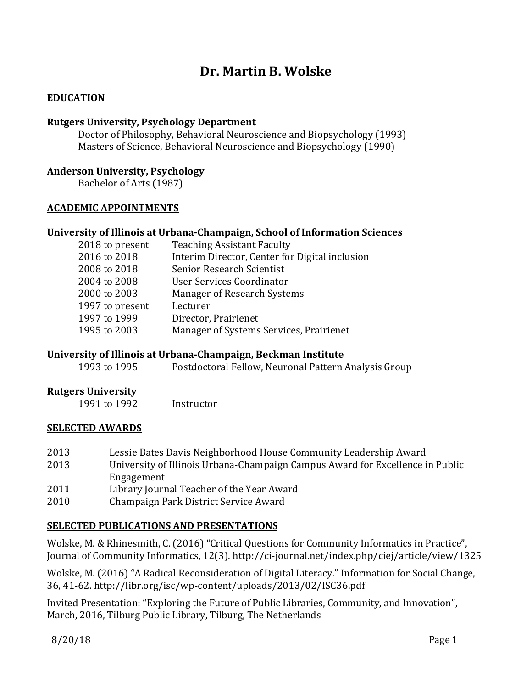# **Dr. Martin B. Wolske**

# **EDUCATION**

#### **Rutgers University, Psychology Department**

Doctor of Philosophy, Behavioral Neuroscience and Biopsychology (1993) Masters of Science, Behavioral Neuroscience and Biopsychology (1990)

#### **Anderson University, Psychology**

Bachelor of Arts (1987)

## **ACADEMIC APPOINTMENTS**

## **University of Illinois at Urbana-Champaign, School of Information Sciences**

| 2018 to present | <b>Teaching Assistant Faculty</b>              |
|-----------------|------------------------------------------------|
| 2016 to 2018    | Interim Director, Center for Digital inclusion |
| 2008 to 2018    | Senior Research Scientist                      |
| 2004 to 2008    | User Services Coordinator                      |
| 2000 to 2003    | Manager of Research Systems                    |
| 1997 to present | Lecturer                                       |
| 1997 to 1999    | Director, Prairienet                           |
| 1995 to 2003    | Manager of Systems Services, Prairienet        |
|                 |                                                |

#### **University of Illinois at Urbana-Champaign, Beckman Institute**

1993 to 1995 Postdoctoral Fellow, Neuronal Pattern Analysis Group

#### **Rutgers University**

1991 to 1992 Instructor

#### **SELECTED AWARDS**

| 2013 | Lessie Bates Davis Neighborhood House Community Leadership Award              |
|------|-------------------------------------------------------------------------------|
| 2013 | University of Illinois Urbana-Champaign Campus Award for Excellence in Public |
|      | Engagement                                                                    |
| 2011 | Library Journal Teacher of the Year Award                                     |
| 2010 | Champaign Park District Service Award                                         |

# **SELECTED PUBLICATIONS AND PRESENTATIONS**

Wolske, M. & Rhinesmith, C. (2016) "Critical Questions for Community Informatics in Practice", Journal of Community Informatics, 12(3). http://ci-journal.net/index.php/ciej/article/view/1325

Wolske, M. (2016) "A Radical Reconsideration of Digital Literacy." Information for Social Change, 36, 41-62. http://libr.org/isc/wp-content/uploads/2013/02/ISC36.pdf

Invited Presentation: "Exploring the Future of Public Libraries, Community, and Innovation", March, 2016, Tilburg Public Library, Tilburg, The Netherlands